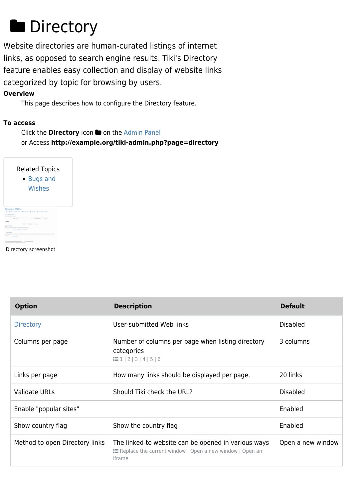# **Directory**

Website directories are human-curated listings of internet links, as opposed to search engine results. Tiki's Directory feature enables easy collection and display of website links categorized by topic for browsing by users.

### **Overview**

This page describes how to configure the Directory feature.

### **To access**

Click the **Directory** icon **the [Admin Panel](https://doc.tiki.org/Admin-Panels)** or Access **http://example.org/tiki-admin.php?page=directory**

| <b>Related Topics</b><br><b>Bugs and</b><br>$\bullet$<br>Wishes |
|-----------------------------------------------------------------|
|                                                                 |
|                                                                 |
|                                                                 |
|                                                                 |
|                                                                 |

Directory screenshot

| <b>Option</b>                  | <b>Description</b>                                                                                                          | <b>Default</b>    |
|--------------------------------|-----------------------------------------------------------------------------------------------------------------------------|-------------------|
| <b>Directory</b>               | User-submitted Web links                                                                                                    | <b>Disabled</b>   |
| Columns per page               | Number of columns per page when listing directory<br>categories<br>$\equiv$ 1   2   3   4   5   6                           | 3 columns         |
| Links per page                 | How many links should be displayed per page.                                                                                | 20 links          |
| <b>Validate URLs</b>           | Should Tiki check the URL?                                                                                                  | <b>Disabled</b>   |
| Enable "popular sites"         |                                                                                                                             | Enabled           |
| Show country flag              | Show the country flag                                                                                                       | Enabled           |
| Method to open Directory links | The linked-to website can be opened in various ways<br>E Replace the current window   Open a new window   Open an<br>iframe | Open a new window |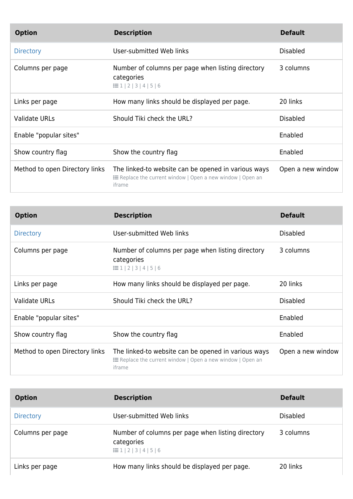| <b>Option</b>                  | <b>Description</b>                                                                                                          | <b>Default</b>    |
|--------------------------------|-----------------------------------------------------------------------------------------------------------------------------|-------------------|
| <b>Directory</b>               | User-submitted Web links                                                                                                    | <b>Disabled</b>   |
| Columns per page               | Number of columns per page when listing directory<br>categories<br>$\equiv$ 1   2   3   4   5   6                           | 3 columns         |
| Links per page                 | How many links should be displayed per page.                                                                                | 20 links          |
| <b>Validate URLs</b>           | Should Tiki check the URL?                                                                                                  | <b>Disabled</b>   |
| Enable "popular sites"         |                                                                                                                             | Enabled           |
| Show country flag              | Show the country flag                                                                                                       | Enabled           |
| Method to open Directory links | The linked-to website can be opened in various ways<br>E Replace the current window   Open a new window   Open an<br>iframe | Open a new window |

| <b>Option</b>                  | <b>Description</b>                                                                                                                 | <b>Default</b>    |
|--------------------------------|------------------------------------------------------------------------------------------------------------------------------------|-------------------|
| <b>Directory</b>               | User-submitted Web links                                                                                                           | <b>Disabled</b>   |
| Columns per page               | Number of columns per page when listing directory<br>categories<br>$\equiv$ 1   2   3   4   5   6                                  | 3 columns         |
| Links per page                 | How many links should be displayed per page.                                                                                       | 20 links          |
| <b>Validate URLs</b>           | Should Tiki check the URL?                                                                                                         | <b>Disabled</b>   |
| Enable "popular sites"         |                                                                                                                                    | Enabled           |
| Show country flag              | Show the country flag                                                                                                              | Enabled           |
| Method to open Directory links | The linked-to website can be opened in various ways<br><b>E</b> Replace the current window   Open a new window   Open an<br>iframe | Open a new window |

| <b>Option</b>    | <b>Description</b>                                                                                | <b>Default</b>  |
|------------------|---------------------------------------------------------------------------------------------------|-----------------|
| <b>Directory</b> | User-submitted Web links                                                                          | <b>Disabled</b> |
| Columns per page | Number of columns per page when listing directory<br>categories<br>$\equiv 1   2   3   4   5   6$ | 3 columns       |
| Links per page   | How many links should be displayed per page.                                                      | 20 links        |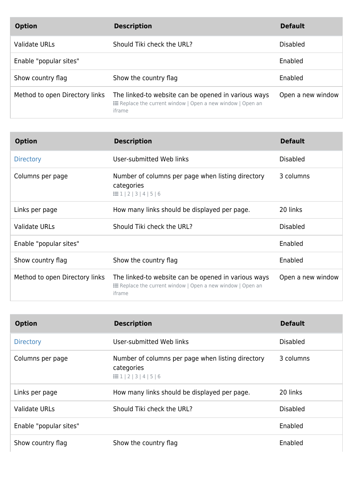| <b>Option</b>                  | <b>Description</b>                                                                                                                 | <b>Default</b>    |
|--------------------------------|------------------------------------------------------------------------------------------------------------------------------------|-------------------|
| <b>Validate URLs</b>           | Should Tiki check the URL?                                                                                                         | <b>Disabled</b>   |
| Enable "popular sites"         |                                                                                                                                    | Enabled           |
| Show country flag              | Show the country flag                                                                                                              | Enabled           |
| Method to open Directory links | The linked-to website can be opened in various ways<br><b>E</b> Replace the current window   Open a new window   Open an<br>iframe | Open a new window |

| <b>Option</b>                  | <b>Description</b>                                                                                                                 | <b>Default</b>    |
|--------------------------------|------------------------------------------------------------------------------------------------------------------------------------|-------------------|
| <b>Directory</b>               | User-submitted Web links                                                                                                           | <b>Disabled</b>   |
| Columns per page               | Number of columns per page when listing directory<br>categories<br>$\equiv$ 1 2 3 4 5 6                                            | 3 columns         |
| Links per page                 | How many links should be displayed per page.                                                                                       | 20 links          |
| <b>Validate URLs</b>           | Should Tiki check the URL?                                                                                                         | <b>Disabled</b>   |
| Enable "popular sites"         |                                                                                                                                    | Enabled           |
| Show country flag              | Show the country flag                                                                                                              | Enabled           |
| Method to open Directory links | The linked-to website can be opened in various ways<br><b>E</b> Replace the current window   Open a new window   Open an<br>iframe | Open a new window |

| <b>Option</b>          | <b>Description</b>                                                                                | <b>Default</b>  |
|------------------------|---------------------------------------------------------------------------------------------------|-----------------|
| <b>Directory</b>       | User-submitted Web links                                                                          | <b>Disabled</b> |
| Columns per page       | Number of columns per page when listing directory<br>categories<br>$\equiv 1   2   3   4   5   6$ | 3 columns       |
| Links per page         | How many links should be displayed per page.                                                      | 20 links        |
| <b>Validate URLs</b>   | Should Tiki check the URL?                                                                        | <b>Disabled</b> |
| Enable "popular sites" |                                                                                                   | Enabled         |
| Show country flag      | Show the country flag                                                                             | Enabled         |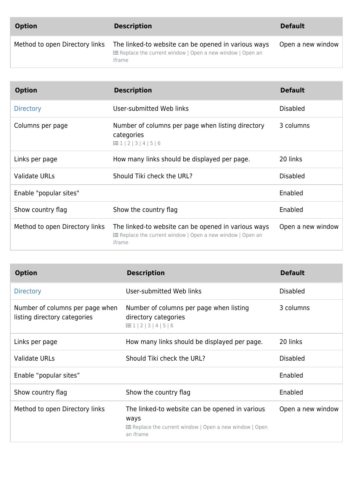| <b>Option</b>                  | <b>Description</b>                                                                                                                 | <b>Default</b>    |
|--------------------------------|------------------------------------------------------------------------------------------------------------------------------------|-------------------|
| Method to open Directory links | The linked-to website can be opened in various ways<br>$\equiv$ Replace the current window   Open a new window   Open an<br>iframe | Open a new window |

| <b>Option</b>                  | <b>Description</b>                                                                                                                 | <b>Default</b>    |
|--------------------------------|------------------------------------------------------------------------------------------------------------------------------------|-------------------|
| <b>Directory</b>               | User-submitted Web links                                                                                                           | <b>Disabled</b>   |
| Columns per page               | Number of columns per page when listing directory<br>categories<br>$\equiv$ 1 2 3 4 5 6                                            | 3 columns         |
| Links per page                 | How many links should be displayed per page.                                                                                       | 20 links          |
| <b>Validate URLs</b>           | Should Tiki check the URL?                                                                                                         | <b>Disabled</b>   |
| Enable "popular sites"         |                                                                                                                                    | Enabled           |
| Show country flag              | Show the country flag                                                                                                              | Enabled           |
| Method to open Directory links | The linked-to website can be opened in various ways<br><b>E</b> Replace the current window   Open a new window   Open an<br>iframe | Open a new window |

| <b>Option</b>                                                   | <b>Description</b>                                                                                                                    | <b>Default</b>    |
|-----------------------------------------------------------------|---------------------------------------------------------------------------------------------------------------------------------------|-------------------|
| <b>Directory</b>                                                | User-submitted Web links                                                                                                              | <b>Disabled</b>   |
| Number of columns per page when<br>listing directory categories | Number of columns per page when listing<br>directory categories<br>$\equiv$ 1   2   3   4   5   6                                     | 3 columns         |
| Links per page                                                  | How many links should be displayed per page.                                                                                          | 20 links          |
| <b>Validate URLs</b>                                            | Should Tiki check the URL?                                                                                                            | <b>Disabled</b>   |
| Enable "popular sites"                                          |                                                                                                                                       | Enabled           |
| Show country flag                                               | Show the country flag                                                                                                                 | Enabled           |
| Method to open Directory links                                  | The linked-to website can be opened in various<br>ways<br><b>E</b> Replace the current window   Open a new window   Open<br>an iframe | Open a new window |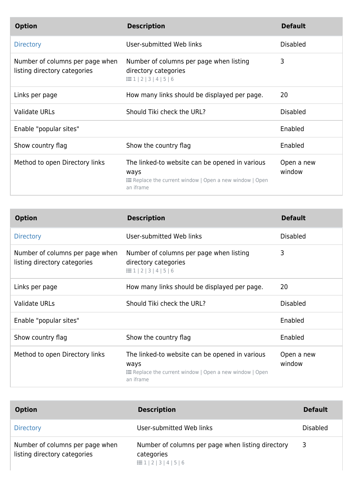| <b>Option</b>                                                   | <b>Description</b>                                                                                                                    | <b>Default</b>       |
|-----------------------------------------------------------------|---------------------------------------------------------------------------------------------------------------------------------------|----------------------|
| <b>Directory</b>                                                | User-submitted Web links                                                                                                              | <b>Disabled</b>      |
| Number of columns per page when<br>listing directory categories | Number of columns per page when listing<br>directory categories<br>$\equiv$ 1 2 3 4 5 6                                               | 3                    |
| Links per page                                                  | How many links should be displayed per page.                                                                                          | 20                   |
| <b>Validate URLs</b>                                            | Should Tiki check the URL?                                                                                                            | <b>Disabled</b>      |
| Enable "popular sites"                                          |                                                                                                                                       | Enabled              |
| Show country flag                                               | Show the country flag                                                                                                                 | Enabled              |
| Method to open Directory links                                  | The linked-to website can be opened in various<br>ways<br><b>E</b> Replace the current window   Open a new window   Open<br>an iframe | Open a new<br>window |

| <b>Option</b>                                                   | <b>Description</b>                                                                                                                    | <b>Default</b>       |
|-----------------------------------------------------------------|---------------------------------------------------------------------------------------------------------------------------------------|----------------------|
| <b>Directory</b>                                                | User-submitted Web links                                                                                                              | <b>Disabled</b>      |
| Number of columns per page when<br>listing directory categories | Number of columns per page when listing<br>directory categories<br>$\equiv$ 1   2   3   4   5   6                                     | 3                    |
| Links per page                                                  | How many links should be displayed per page.                                                                                          | 20                   |
| <b>Validate URLs</b>                                            | Should Tiki check the URL?                                                                                                            | <b>Disabled</b>      |
| Enable "popular sites"                                          |                                                                                                                                       | Enabled              |
| Show country flag                                               | Show the country flag                                                                                                                 | Enabled              |
| Method to open Directory links                                  | The linked-to website can be opened in various<br>ways<br><b>E</b> Replace the current window   Open a new window   Open<br>an iframe | Open a new<br>window |

| <b>Option</b>                                                   | <b>Description</b>                                                                                | <b>Default</b>  |
|-----------------------------------------------------------------|---------------------------------------------------------------------------------------------------|-----------------|
| <b>Directory</b>                                                | User-submitted Web links                                                                          | <b>Disabled</b> |
| Number of columns per page when<br>listing directory categories | Number of columns per page when listing directory<br>categories<br>$\equiv$ 1   2   3   4   5   6 | 3               |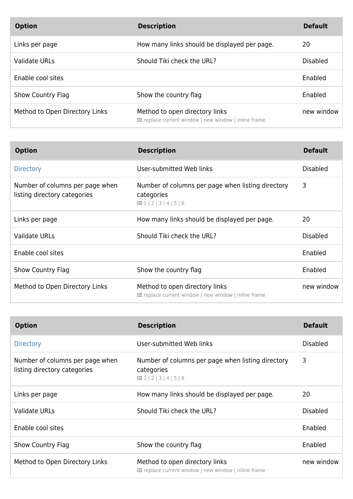| <b>Option</b>                  | <b>Description</b>                                                                     | <b>Default</b> |
|--------------------------------|----------------------------------------------------------------------------------------|----------------|
| Links per page                 | How many links should be displayed per page.                                           | 20             |
| Validate URLs                  | Should Tiki check the URL?                                                             | Disabled       |
| Enable cool sites              |                                                                                        | Enabled        |
| Show Country Flag              | Show the country flag                                                                  | Enabled        |
| Method to Open Directory Links | Method to open directory links<br>≡ replace current window   new window   inline frame | new window     |

| <b>Option</b>                                                   | <b>Description</b>                                                                                | <b>Default</b>  |
|-----------------------------------------------------------------|---------------------------------------------------------------------------------------------------|-----------------|
| <b>Directory</b>                                                | User-submitted Web links                                                                          | Disabled        |
| Number of columns per page when<br>listing directory categories | Number of columns per page when listing directory<br>categories<br>$\equiv$ 1   2   3   4   5   6 | 3               |
| Links per page                                                  | How many links should be displayed per page.                                                      | 20              |
| Validate URLs                                                   | Should Tiki check the URL?                                                                        | <b>Disabled</b> |
| Enable cool sites                                               |                                                                                                   | Enabled         |
| <b>Show Country Flag</b>                                        | Show the country flag                                                                             | Enabled         |
| Method to Open Directory Links                                  | Method to open directory links<br>≡ replace current window   new window   inline frame            | new window      |

| <b>Option</b>                                                   | <b>Description</b>                                                                                | <b>Default</b>  |
|-----------------------------------------------------------------|---------------------------------------------------------------------------------------------------|-----------------|
| <b>Directory</b>                                                | User-submitted Web links                                                                          | <b>Disabled</b> |
| Number of columns per page when<br>listing directory categories | Number of columns per page when listing directory<br>categories<br>$\equiv$ 1   2   3   4   5   6 | 3               |
| Links per page                                                  | How many links should be displayed per page.                                                      | 20              |
| Validate URLs                                                   | Should Tiki check the URL?                                                                        | <b>Disabled</b> |
| Enable cool sites                                               |                                                                                                   | Enabled         |
| <b>Show Country Flag</b>                                        | Show the country flag                                                                             | Enabled         |
| Method to Open Directory Links                                  | Method to open directory links<br>≡ replace current window   new window   inline frame            | new window      |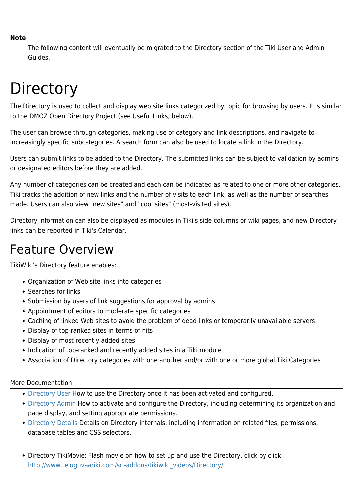#### **Note**

The following content will eventually be migrated to the Directory section of the Tiki User and Admin Guides.

# **Directory**

The Directory is used to collect and display web site links categorized by topic for browsing by users. It is similar to the DMOZ Open Directory Project (see Useful Links, below).

The user can browse through categories, making use of category and link descriptions, and navigate to increasingly specific subcategories. A search form can also be used to locate a link in the Directory.

Users can submit links to be added to the Directory. The submitted links can be subject to validation by admins or designated editors before they are added.

Any number of categories can be created and each can be indicated as related to one or more other categories. Tiki tracks the addition of new links and the number of visits to each link, as well as the number of searches made. Users can also view "new sites" and "cool sites" (most-visited sites).

Directory information can also be displayed as modules in Tiki's side columns or wiki pages, and new Directory links can be reported in Tiki's Calendar.

## Feature Overview

TikiWiki's Directory feature enables:

- Organization of Web site links into categories
- Searches for links
- Submission by users of link suggestions for approval by admins
- Appointment of editors to moderate specific categories
- Caching of linked Web sites to avoid the problem of dead links or temporarily unavailable servers
- Display of top-ranked sites in terms of hits
- Display of most recently added sites
- Indication of top-ranked and recently added sites in a Tiki module
- Association of Directory categories with one another and/or with one or more global Tiki Categories

#### More Documentation

- [Directory User](https://doc.tiki.org/Directory-User) How to use the Directory once it has been activated and configured.
- [Directory Admin](https://doc.tiki.org/Directory-Admin) How to activate and configure the Directory, including determining its organization and page display, and setting appropriate permissions.
- [Directory Details](https://doc.tiki.org/Directory-Details) Details on Directory internals, including information on related files, permissions, database tables and CSS selectors.
- Directory TikiMovie: Flash movie on how to set up and use the Directory, click by click [http://www.teluguvaariki.com/sri-addons/tikiwiki\\_videos/Directory/](http://www.teluguvaariki.com/sri-addons/tikiwiki_videos/Directory/)